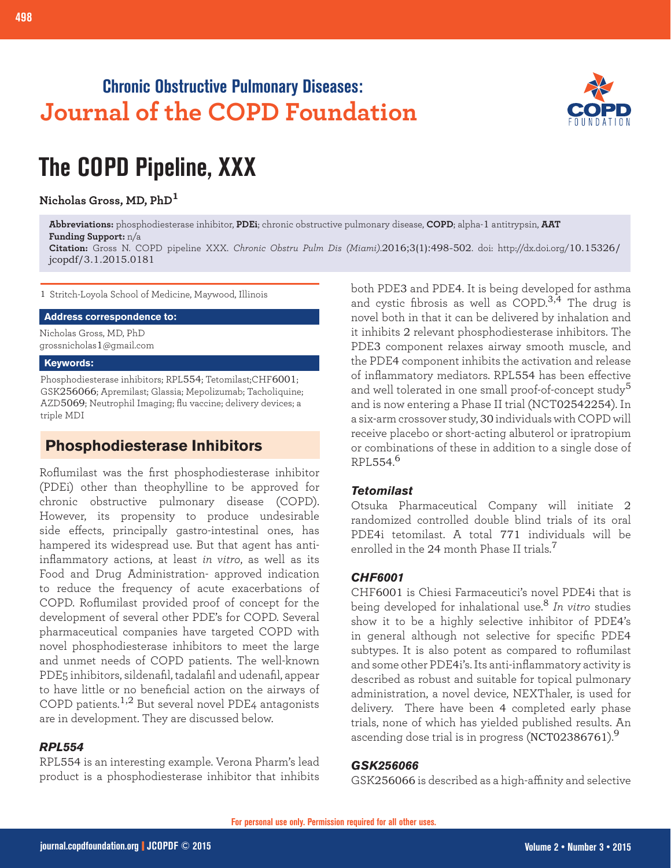## **Chronic Obstructive Pulmonary Diseases: Journal of the COPD Foundation**



# **The COPD Pipeline, XXX**

**Nicholas Gross, MD, PhD<sup>1</sup>**

**Abbreviations:** phosphodiesterase inhibitor, **PDEi**; chronic obstructive pulmonary disease, **COPD**; alpha-1 antitrypsin, **AAT Funding Support:** n/a

**Citation:** Gross N. COPD pipeline XXX. *Chronic Obstru Pulm Dis (Miami)*.2016;3(1):498-502. doi: http://dx.doi.org/10.15326/ jcopdf/3.1.2015.0181

1 Stritch-Loyola School of Medicine, Maywood, Illinois

#### **Address correspondence to:**

Nicholas Gross, MD, PhD grossnicholas1@gmail.com

#### **Keywords:**

Phosphodiesterase inhibitors; RPL554; Tetomilast;CHF6001; GSK256066; Apremilast; Glassia; Mepolizumab; Tacholiquine; AZD5069; Neutrophil Imaging; flu vaccine; delivery devices; a triple MDI

## **Phosphodiesterase Inhibitors**

Roflumilast was the first phosphodiesterase inhibitor (PDEi) other than theophylline to be approved for chronic obstructive pulmonary disease (COPD). However, its propensity to produce undesirable side effects, principally gastro-intestinal ones, has hampered its widespread use. But that agent has antiinflammatory actions, at least *in vitro*, as well as its Food and Drug Administration- approved indication to reduce the frequency of acute exacerbations of COPD. Roflumilast provided proof of concept for the development of several other PDE's for COPD. Several pharmaceutical companies have targeted COPD with novel phosphodiesterase inhibitors to meet the large and unmet needs of COPD patients. The well-known PDE5 inhibitors, sildenafil, tadalafil and udenafil, appear to have little or no beneficial action on the airways of COPD patients.1,2 But several novel PDE4 antagonists are in development. They are discussed below.

#### *RPL554*

RPL554 is an interesting example. Verona Pharm's lead product is a phosphodiesterase inhibitor that inhibits

both PDE3 and PDE4. It is being developed for asthma and cystic fibrosis as well as  $\text{COPD}^{3,4}$  The drug is novel both in that it can be delivered by inhalation and it inhibits 2 relevant phosphodiesterase inhibitors. The PDE3 component relaxes airway smooth muscle, and the PDE4 component inhibits the activation and release of inflammatory mediators. RPL554 has been effective and well tolerated in one small proof-of-concept study<sup>5</sup> and is now entering a Phase II trial (NCT02542254). In a six-arm crossover study, 30 individuals with COPD will receive placebo or short-acting albuterol or ipratropium or combinations of these in addition to a single dose of RPL554. 6

#### *Tetomilast*

Otsuka Pharmaceutical Company will initiate 2 randomized controlled double blind trials of its oral PDE4i tetomilast. A total 771 individuals will be enrolled in the 24 month Phase II trials.<sup>7</sup>

#### *CHF6001*

CHF6001 is Chiesi Farmaceutici's novel PDE4i that is being developed for inhalational use.<sup>8</sup> *In vitro* studies show it to be a highly selective inhibitor of PDE4's in general although not selective for specific PDE4 subtypes. It is also potent as compared to roflumilast and some other PDE4i's. Its anti-inflammatory activity is described as robust and suitable for topical pulmonary administration, a novel device, NEXThaler, is used for delivery. There have been 4 completed early phase trials, none of which has yielded published results. An ascending dose trial is in progress (NCT02386761).<sup>9</sup>

#### *GSK256066*

GSK256066 is described as a high-affinity and selective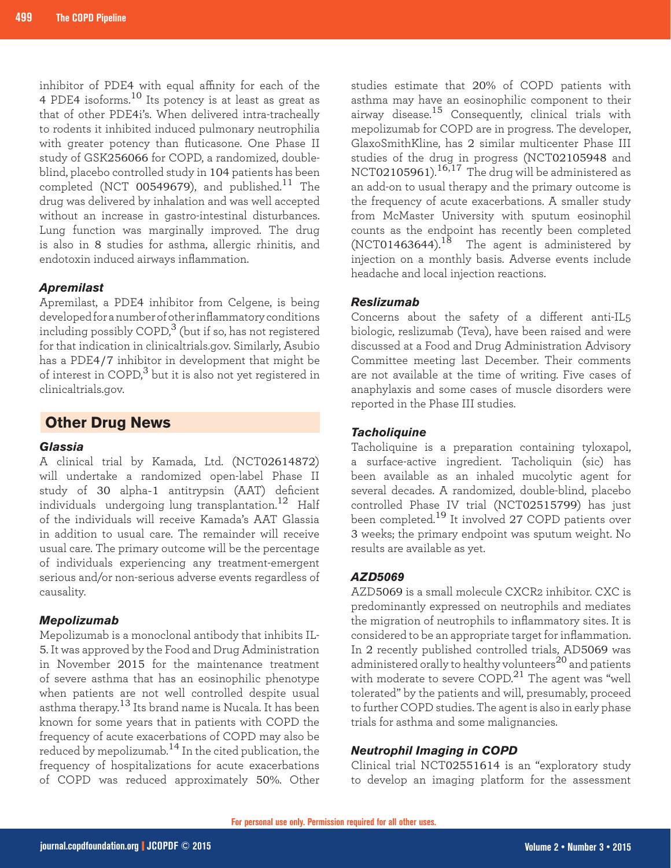inhibitor of PDE4 with equal affinity for each of the 4 PDE4 isoforms.10 Its potency is at least as great as that of other PDE4i's. When delivered intra-tracheally to rodents it inhibited induced pulmonary neutrophilia with greater potency than fluticasone. One Phase II study of GSK256066 for COPD, a randomized, doubleblind, placebo controlled study in 104 patients has been completed (NCT 00549679), and published. $11$  The drug was delivered by inhalation and was well accepted without an increase in gastro-intestinal disturbances. Lung function was marginally improved. The drug is also in 8 studies for asthma, allergic rhinitis, and endotoxin induced airways inflammation.

#### *Apremilast*

Apremilast, a PDE4 inhibitor from Celgene, is being developed for a number of other inflammatory conditions including possibly COPD, $3$  (but if so, has not registered for that indication in clinicaltrials.gov. Similarly, Asubio has a PDE4/7 inhibitor in development that might be of interest in  $\text{COPD}$ <sup>3</sup> but it is also not yet registered in clinicaltrials.gov.

#### **Other Drug News**

#### *Glassia*

A clinical trial by Kamada, Ltd. (NCT02614872) will undertake a randomized open-label Phase II study of 30 alpha-1 antitrypsin (AAT) deficient individuals undergoing lung transplantation.<sup>12</sup> Half of the individuals will receive Kamada's AAT Glassia in addition to usual care. The remainder will receive usual care. The primary outcome will be the percentage of individuals experiencing any treatment-emergent serious and/or non-serious adverse events regardless of causality.

#### *Mepolizumab*

Mepolizumab is a monoclonal antibody that inhibits IL-5. It was approved by the Food and Drug Administration in November 2015 for the maintenance treatment of severe asthma that has an eosinophilic phenotype when patients are not well controlled despite usual asthma therapy.13 Its brand name is Nucala. It has been known for some years that in patients with COPD the frequency of acute exacerbations of COPD may also be reduced by mepolizumab.14 In the cited publication, the frequency of hospitalizations for acute exacerbations of COPD was reduced approximately 50%. Other

studies estimate that 20% of COPD patients with asthma may have an eosinophilic component to their airway disease.15 Consequently, clinical trials with mepolizumab for COPD are in progress. The developer, GlaxoSmithKline, has 2 similar multicenter Phase III studies of the drug in progress (NCT02105948 and NCT02105961).16,17 The drug will be administered as an add-on to usual therapy and the primary outcome is the frequency of acute exacerbations. A smaller study from McMaster University with sputum eosinophil counts as the endpoint has recently been completed (NCT01463644).<sup>18</sup> The agent is administered by injection on a monthly basis. Adverse events include headache and local injection reactions.

#### *Reslizumab*

Concerns about the safety of a different anti-IL5 biologic, reslizumab (Teva), have been raised and were discussed at a Food and Drug Administration Advisory Committee meeting last December. Their comments are not available at the time of writing. Five cases of anaphylaxis and some cases of muscle disorders were reported in the Phase III studies.

#### *Tacholiquine*

Tacholiquine is a preparation containing tyloxapol, a surface-active ingredient. Tacholiquin (sic) has been available as an inhaled mucolytic agent for several decades. A randomized, double-blind, placebo controlled Phase IV trial (NCT02515799) has just been completed.<sup>19</sup> It involved 27 COPD patients over 3 weeks; the primary endpoint was sputum weight. No results are available as yet.

#### *AZD5069*

AZD5069 is a small molecule CXCR2 inhibitor. CXC is predominantly expressed on neutrophils and mediates the migration of neutrophils to inflammatory sites. It is considered to be an appropriate target for inflammation. In 2 recently published controlled trials, AD5069 was administered orally to healthy volunteers<sup>20</sup> and patients with moderate to severe COPD.<sup>21</sup> The agent was "well tolerated" by the patients and will, presumably, proceed to further COPD studies. The agent is also in early phase trials for asthma and some malignancies.

#### *Neutrophil Imaging in COPD*

Clinical trial NCT02551614 is an "exploratory study to develop an imaging platform for the assessment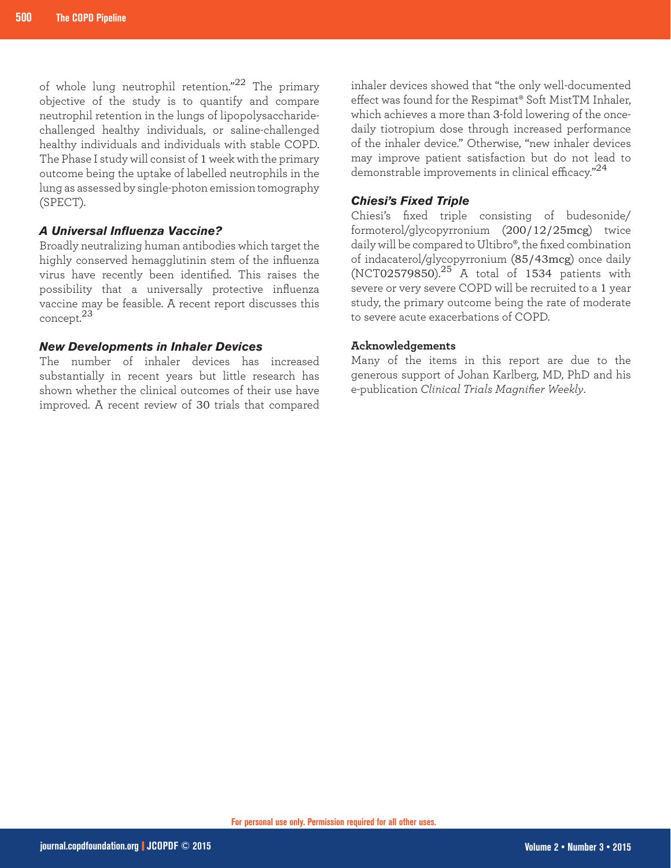of whole lung neutrophil retention."<sup>22</sup> The primary objective of the study is to quantify and compare neutrophil retention in the lungs of lipopolysaccharidechallenged healthy individuals, or saline-challenged healthy individuals and individuals with stable COPD. The Phase I study will consist of 1 week with the primary outcome being the uptake of labelled neutrophils in the lung as assessed by single-photon emission tomography (SPECT).

#### *A Universal Influenza Vaccine?*

Broadly neutralizing human antibodies which target the highly conserved hemagglutinin stem of the influenza virus have recently been identified. This raises the possibility that a universally protective influenza vaccine may be feasible. A recent report discusses this concept.<sup>23</sup>

#### *New Developments in Inhaler Devices*

The number of inhaler devices has increased substantially in recent years but little research has shown whether the clinical outcomes of their use have improved. A recent review of 30 trials that compared inhaler devices showed that "the only well-documented effect was found for the Respimat® Soft MistTM Inhaler, which achieves a more than 3-fold lowering of the oncedaily tiotropium dose through increased performance of the inhaler device." Otherwise, "new inhaler devices may improve patient satisfaction but do not lead to demonstrable improvements in clinical efficacy."<sup>24</sup>

#### *Chiesi's Fixed Triple*

Chiesi's fixed triple consisting of budesonide/ formoterol/glycopyrronium (200/12/25mcg) twice daily will be compared to Ultibro®, the fixed combination of indacaterol/glycopyrronium (85/43mcg) once daily  $(NCT02579850).^{25}$  A total of 1534 patients with severe or very severe COPD will be recruited to a 1 year study, the primary outcome being the rate of moderate to severe acute exacerbations of COPD.

#### **Acknowledgements**

Many of the items in this report are due to the generous support of Johan Karlberg, MD, PhD and his e-publication *Clinical Trials Magnifier Weekly*.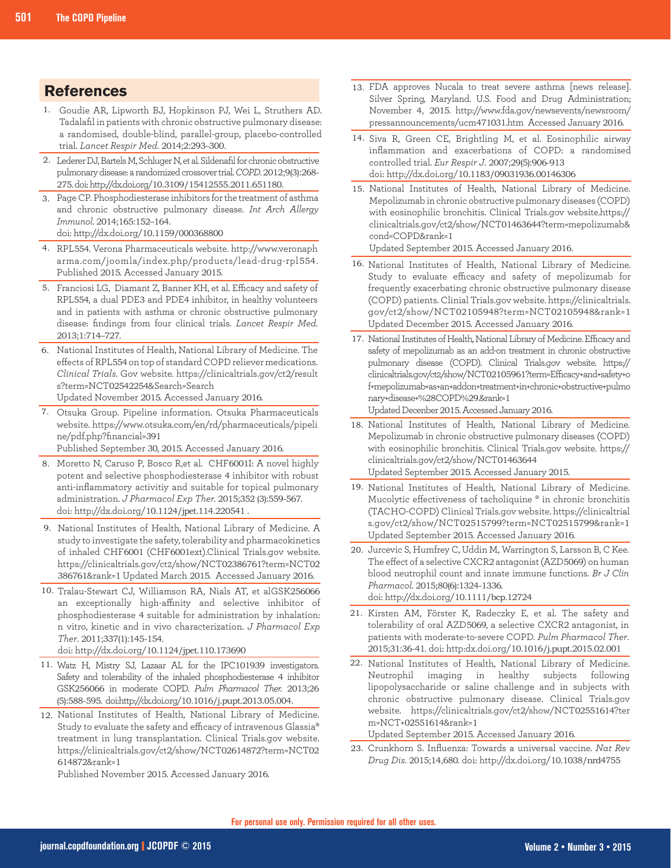### **References**

- Goudie AR, Lipworth BJ, Hopkinson PJ, Wei L, Struthers AD. 1. Tadalafil in patients with chronic obstructive pulmonary disease: a randomised, double-blind, parallel-group, placebo-controlled trial. *Lancet Respir Med*. 2014;2:293–300.
- 2. Lederer DJ, Bartels M, Schluger N, et al. Sildenafil for chronic obstructive pulmonary disease: a randomized crossover trial. *COPD*. 2012;9(3):268- 275. doi: http://dx.doi.org/10.3109/15412555.2011.651180.
- Page CP. Phosphodiesterase inhibitors for the treatment of asthma 3. and chronic obstructive pulmonary disease. *Int Arch Allergy Immunol*. 2014;165:152–164. doi: http://dx.doi.org/10.1159/000368800
- RPL554. Verona Pharmaceuticals website. http://www.veronaph 4. arma.com/joomla/index.php/products/lead-drug-rpl554. Published 2015. Accessed January 2015.
- Franciosi LG, Diamant Z, Banner KH, et al. Efficacy and safety of 5. RPL554, a dual PDE3 and PDE4 inhibitor, in healthy volunteers and in patients with asthma or chronic obstructive pulmonary disease: findings from four clinical trials. *Lancet Respir Med*. 2013;1:714–727.
- 6. National Institutes of Health, National Library of Medicine. The effects of RPL554 on top of standard COPD reliever medications. *Clinical Trials*. Gov website. https://clinicaltrials.gov/ct2/result s?term=NCT02542254&Search=Search Updated November 2015. Accessed January 2016.
- 
- Otsuka Group. Pipeline information. Otsuka Pharmaceuticals 7. website. https://www.otsuka.com/en/rd/pharmaceuticals/pipeli ne/pdf.php?financial=391 Published September 30, 2015. Accessed January 2016.
	-
- 8. Moretto N, Caruso P, Bosco R,et al. CHF6001I: A novel highly potent and selective phosphodiesterase 4 inhibitor with robust anti-inflammatory activitiy and suitable for topical pulmonary administration. *J Pharmacol Exp Ther.* 2015;352 (3):559-567. doi: http://dx.doi.org/10.1124/jpet.114.220541 .
- 9. National Institutes of Health, National Library of Medicine. A study to investigate the safety, tolerability and pharmacokinetics of inhaled CHF6001 (CHF6001ext).Clinical Trials.gov website. https://clinicaltrials.gov/ct2/show/NCT02386761?term=NCT02 386761&rank=1 Updated March 2015. Accessed January 2016.
- 10. Tralau-Stewart CJ, Williamson RA, Nials AT, et alGSK256066 an exceptionally high-affinity and selective inhibitor of phosphodiesterase 4 suitable for administration by inhalation: n vitro, kinetic and in vivo characterization. *J Pharmacol Exp Ther*. 2011;337(1):145-154.
	- doi: http://dx.doi.org/10.1124/jpet.110.173690
- 11. Watz H, Mistry SJ, Lazaar AL for the IPC101939 investigators. Safety and tolerability of the inhaled phosphodiesterase 4 inhibitor GSK256066 in moderate COPD. *Pulm Pharmacol Ther.* 2013;26 (5):588-595. doi:http://dx.doi.org/10.1016/j.pupt.2013.05.004.
- 12. National Institutes of Health, National Library of Medicine. Study to evaluate the safety and efficacy of intravenous Glassia® treatment in lung transplantation. Clinical Trials.gov website. https://clinicaltrials.gov/ct2/show/NCT02614872?term=NCT02 614872&rank=1

Published November 2015. Accessed January 2016.

- 13. FDA approves Nucala to treat severe asthma [news release]. Silver Spring, Maryland. U.S. Food and Drug Administration; November 4, 2015. http://www.fda.gov/newsevents/newsroom/ pressannouncements/ucm471031.htm Accessed January 2016.
- 14. Siva R, Green CE, Brightling M, et al. Eosinophilic airway inflammation and exacerbations of COPD: a randomised controlled trial. *Eur Respir J*. 2007;29(5):906-913 doi: http://dx.doi.org/10.1183/09031936.00146306
- 15. National Institutes of Health, National Library of Medicine. Mepolizumab in chronic obstructive pulmonary diseases (COPD) with eosinophilic bronchitis. Clinical Trials.gov website.https:// clinicaltrials.gov/ct2/show/NCT01463644?term=mepolizumab& cond=COPD&rank=1

Updated September 2015. Accessed January 2016.

- 16. National Institutes of Health, National Library of Medicine. Study to evaluate efficacy and safety of mepolizumab for frequently exacerbating chronic obstructive pulmonary disease (COPD) patients. Clinial Trials.gov website. https://clinicaltrials. gov/ct2/show/NCT02105948?term=NCT02105948&rank=1 Updated December 2015. Accessed January 2016.
- 17. National Institutes of Health, National Library of Medicine. Efficacy and safety of mepolizumab as an add-on treatment in chronic obstructive pulmonary disease (COPD). Clinical Trials.gov website. https:// clinicaltrials.gov/ct2/show/NCT02105961?term=Efficacy+and+safety+o f+mepolizumab+as+an+addon+treatment+in+chronic+obstructive+pulmo nary+disease+%28COPD%29.&rank=1

Updated Decenber 2015. Accessed January 2016.

- 18. National Institutes of Health, National Library of Medicine. Mepolizumab in chronic obstructive pulmonary diseases (COPD) with eosinophilic bronchitis. Clinical Trials.gov website. https:// clinicaltrials.gov/ct2/show/NCT01463644 Updated September 2015. Accessed January 2015.
- 19. National Institutes of Health, National Library of Medicine. Mucolytic effectiveness of tacholiquine ® in chronic bronchitis (TACHO-COPD) Clinical Trials.gov website. https://clinicaltrial s.gov/ct2/show/NCT02515799?term=NCT02515799&rank=1 Updated September 2015. Accessed January 2016.
- 20. Jurcevic S, Humfrey C, Uddin M, Warrington S, Larsson B, C Kee. The effect of a selective CXCR2 antagonist (AZD5069) on human blood neutrophil count and innate immune functions. *Br J Clin Pharmacol*. 2015;80(6):1324-1336. doi: http://dx.doi.org/10.1111/bcp.12724
- 21. Kirsten AM, Förster K, Radeczky E, et al. The safety and tolerability of oral AZD5069, a selective CXCR2 antagonist, in patients with moderate-to-severe COPD. *Pulm Pharmacol Ther*. 2015;31:36-41. doi: http:dx.doi.org/10.1016/j.pupt.2015.02.001
- National Institutes of Health, National Library of Medicine. 22. Neutrophil imaging in healthy subjects following lipopolysaccharide or saline challenge and in subjects with chronic obstructive pulmonary disease. Clinical Trials.gov website. https://clinicaltrials.gov/ct2/show/NCT02551614?ter m=NCT+02551614&rank=1

Updated September 2015. Accessed January 2016.

Crunkhorn S. Influenza: Towards a universal vaccine. *Nat Rev*  23.*Drug Dis*. 2015;14,680. doi: http://dx.doi.org/10.1038/nrd4755